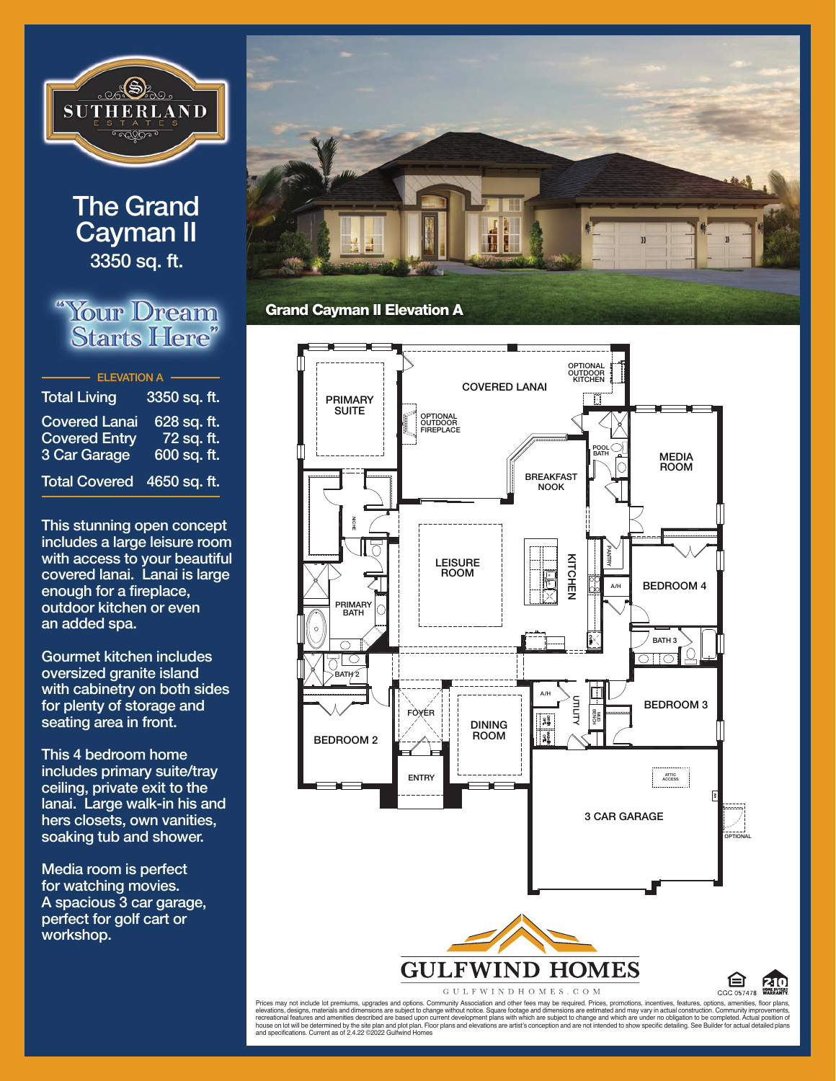

## **The Grand Cayman II 3350 sq. ft.**

## "Your Dream **Starts Here"**

| <b>Total Living</b>                                          | 3350 sq. ft.                             |
|--------------------------------------------------------------|------------------------------------------|
| <b>Covered Lanai</b><br><b>Covered Entry</b><br>3 Car Garage | 628 sq. ft.<br>72 sq. ft.<br>600 sq. ft. |
| <b>Total Covered</b>                                         | 4650 sq. ft.                             |

**This stunning open concept includes a large leisure room with access to your beautiful covered lanai. lanai is large enough for a fireplace, outdoor kitchen or even an added spa.** 

**Gourmet kitchen includes oversized granite island with cabinetry on both sides for plenty of storage and seating area in front.** 

**This 4 bedroom home includes primary suite/tray ceiling, private exit to the lanai. large walk-in his and hers closets, own vanities, soaking tub and shower.** 

**Media room is perfect for watching movies. a spacious 3 car garage, perfect for golf cart or workshop.**





GULFWINDHOMES.COM



Prices may not include lot premiums, upgrades and options. Community Association and other fees may be required. Prices, promotions, incentives, features, options, amenities, floor plans, elevations, designs, materials and dimensions are subject to change without out on the members of explored to the members of the members of the members of the members of experients, include to the completed. Actual positio